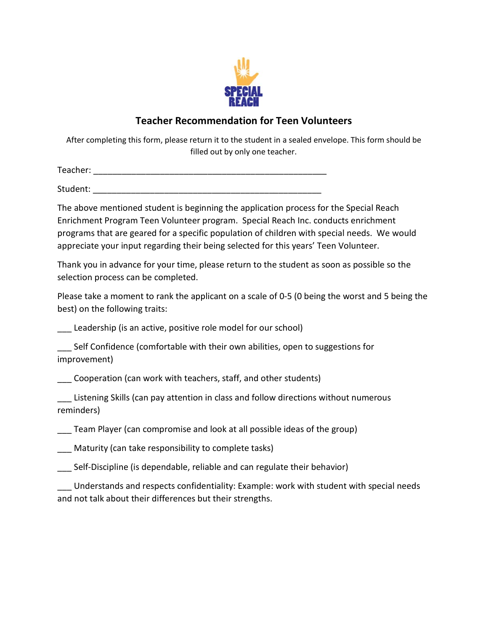

## **Teacher Recommendation for Teen Volunteers**

After completing this form, please return it to the student in a sealed envelope. This form should be filled out by only one teacher.

Teacher: \_\_\_\_\_\_\_\_\_\_\_\_\_\_\_\_\_\_\_\_\_\_\_\_\_\_\_\_\_\_\_\_\_\_\_\_\_\_\_\_\_\_\_\_\_\_\_\_\_

Student:  $\blacksquare$ 

The above mentioned student is beginning the application process for the Special Reach Enrichment Program Teen Volunteer program. Special Reach Inc. conducts enrichment programs that are geared for a specific population of children with special needs. We would appreciate your input regarding their being selected for this years' Teen Volunteer.

Thank you in advance for your time, please return to the student as soon as possible so the selection process can be completed.

Please take a moment to rank the applicant on a scale of 0-5 (0 being the worst and 5 being the best) on the following traits:

Leadership (is an active, positive role model for our school)

\_\_\_ Self Confidence (comfortable with their own abilities, open to suggestions for improvement)

\_\_\_ Cooperation (can work with teachers, staff, and other students)

\_\_\_ Listening Skills (can pay attention in class and follow directions without numerous reminders)

Team Player (can compromise and look at all possible ideas of the group)

Maturity (can take responsibility to complete tasks)

\_\_\_ Self-Discipline (is dependable, reliable and can regulate their behavior)

Understands and respects confidentiality: Example: work with student with special needs and not talk about their differences but their strengths.